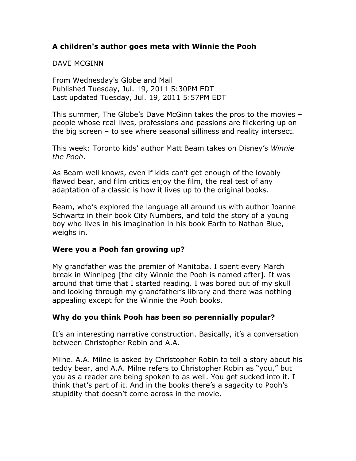# **A children's author goes meta with Winnie the Pooh**

#### DAVE MCGINN

From Wednesday's Globe and Mail Published Tuesday, Jul. 19, 2011 5:30PM EDT Last updated Tuesday, Jul. 19, 2011 5:57PM EDT

This summer, The Globe's Dave McGinn takes the pros to the movies – people whose real lives, professions and passions are flickering up on the big screen – to see where seasonal silliness and reality intersect.

This week: Toronto kids' author Matt Beam takes on Disney's *Winnie the Pooh*.

As Beam well knows, even if kids can't get enough of the lovably flawed bear, and film critics enjoy the film, the real test of any adaptation of a classic is how it lives up to the original books.

Beam, who's explored the language all around us with author Joanne Schwartz in their book City Numbers, and told the story of a young boy who lives in his imagination in his book Earth to Nathan Blue, weighs in.

#### **Were you a Pooh fan growing up?**

My grandfather was the premier of Manitoba. I spent every March break in Winnipeg [the city Winnie the Pooh is named after]. It was around that time that I started reading. I was bored out of my skull and looking through my grandfather's library and there was nothing appealing except for the Winnie the Pooh books.

#### **Why do you think Pooh has been so perennially popular?**

It's an interesting narrative construction. Basically, it's a conversation between Christopher Robin and A.A.

Milne. A.A. Milne is asked by Christopher Robin to tell a story about his teddy bear, and A.A. Milne refers to Christopher Robin as "you," but you as a reader are being spoken to as well. You get sucked into it. I think that's part of it. And in the books there's a sagacity to Pooh's stupidity that doesn't come across in the movie.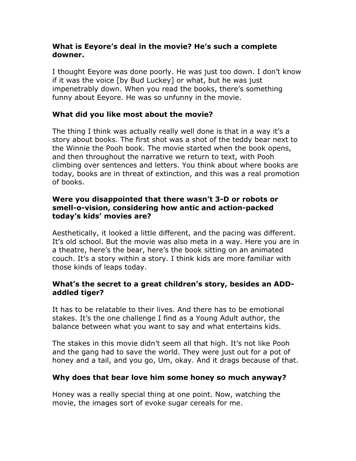## **What is Eeyore's deal in the movie? He's such a complete downer.**

I thought Eeyore was done poorly. He was just too down. I don't know if it was the voice [by Bud Luckey] or what, but he was just impenetrably down. When you read the books, there's something funny about Eeyore. He was so unfunny in the movie.

# **What did you like most about the movie?**

The thing I think was actually really well done is that in a way it's a story about books. The first shot was a shot of the teddy bear next to the Winnie the Pooh book. The movie started when the book opens, and then throughout the narrative we return to text, with Pooh climbing over sentences and letters. You think about where books are today, books are in threat of extinction, and this was a real promotion of books.

#### **Were you disappointed that there wasn't 3-D or robots or smell-o-vision, considering how antic and action-packed today's kids' movies are?**

Aesthetically, it looked a little different, and the pacing was different. It's old school. But the movie was also meta in a way. Here you are in a theatre, here's the bear, here's the book sitting on an animated couch. It's a story within a story. I think kids are more familiar with those kinds of leaps today.

## **What's the secret to a great children's story, besides an ADDaddled tiger?**

It has to be relatable to their lives. And there has to be emotional stakes. It's the one challenge I find as a Young Adult author, the balance between what you want to say and what entertains kids.

The stakes in this movie didn't seem all that high. It's not like Pooh and the gang had to save the world. They were just out for a pot of honey and a tail, and you go, Um, okay. And it drags because of that.

#### **Why does that bear love him some honey so much anyway?**

Honey was a really special thing at one point. Now, watching the movie, the images sort of evoke sugar cereals for me.